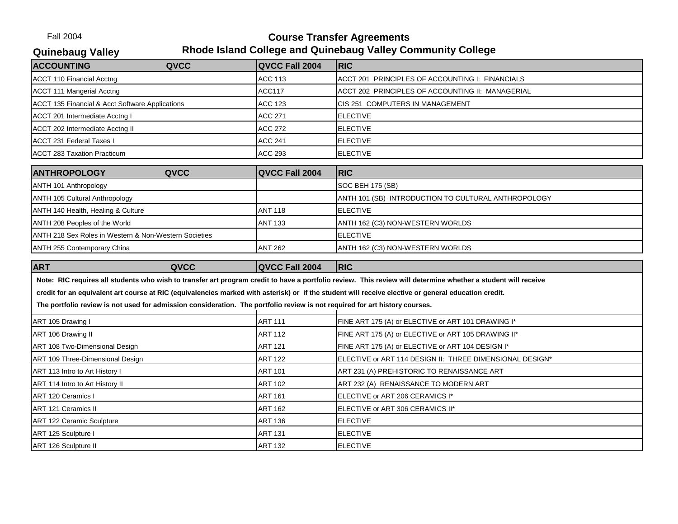Fall 2004 **Course Transfer Agreements Quinebaug Valley Rhode Island College and Quinebaug Valley Community College**

| QVCC Fall 2004<br><b>ACC 113</b><br><b>ACC117</b><br><b>ACC 123</b><br><b>ACC 271</b><br><b>ACC 272</b><br><b>ACC 241</b> | <b>RIC</b><br>ACCT 201 PRINCIPLES OF ACCOUNTING I: FINANCIALS<br>ACCT 202 PRINCIPLES OF ACCOUNTING II: MANAGERIAL<br>CIS 251 COMPUTERS IN MANAGEMENT<br><b>ELECTIVE</b><br><b>ELECTIVE</b><br><b>ELECTIVE</b> |
|---------------------------------------------------------------------------------------------------------------------------|---------------------------------------------------------------------------------------------------------------------------------------------------------------------------------------------------------------|
|                                                                                                                           |                                                                                                                                                                                                               |
|                                                                                                                           |                                                                                                                                                                                                               |
|                                                                                                                           |                                                                                                                                                                                                               |
|                                                                                                                           |                                                                                                                                                                                                               |
|                                                                                                                           |                                                                                                                                                                                                               |
|                                                                                                                           |                                                                                                                                                                                                               |
|                                                                                                                           |                                                                                                                                                                                                               |
| <b>ACC 293</b>                                                                                                            | <b>ELECTIVE</b>                                                                                                                                                                                               |
|                                                                                                                           | <b>RIC</b>                                                                                                                                                                                                    |
|                                                                                                                           | SOC BEH 175 (SB)                                                                                                                                                                                              |
|                                                                                                                           | ANTH 101 (SB) INTRODUCTION TO CULTURAL ANTHROPOLOGY                                                                                                                                                           |
|                                                                                                                           | <b>ELECTIVE</b>                                                                                                                                                                                               |
|                                                                                                                           | ANTH 162 (C3) NON-WESTERN WORLDS                                                                                                                                                                              |
|                                                                                                                           | <b>ELECTIVE</b>                                                                                                                                                                                               |
| <b>ANT 262</b>                                                                                                            | ANTH 162 (C3) NON-WESTERN WORLDS                                                                                                                                                                              |
|                                                                                                                           | <b>RIC</b>                                                                                                                                                                                                    |
|                                                                                                                           |                                                                                                                                                                                                               |
|                                                                                                                           | QVCC Fall 2004<br><b>ANT 118</b><br><b>ANT 133</b><br>QVCC Fall 2004                                                                                                                                          |

| ART 105 Drawing I                | <b>ART 111</b> | FINE ART 175 (A) or ELECTIVE or ART 101 DRAWING I*       |
|----------------------------------|----------------|----------------------------------------------------------|
| ART 106 Drawing II               | <b>ART 112</b> | FINE ART 175 (A) or ELECTIVE or ART 105 DRAWING II*      |
| ART 108 Two-Dimensional Design   | <b>ART 121</b> | FINE ART 175 (A) or ELECTIVE or ART 104 DESIGN I*        |
| ART 109 Three-Dimensional Design | <b>ART 122</b> | ELECTIVE or ART 114 DESIGN II: THREE DIMENSIONAL DESIGN* |
| ART 113 Intro to Art History I   | <b>ART 101</b> | ART 231 (A) PREHISTORIC TO RENAISSANCE ART               |
| ART 114 Intro to Art History II  | <b>ART 102</b> | ART 232 (A) RENAISSANCE TO MODERN ART                    |
| <b>JART 120 Ceramics I</b>       | <b>ART 161</b> | ELECTIVE or ART 206 CERAMICS I*                          |
| <b>JART 121 Ceramics II</b>      | <b>ART 162</b> | ELECTIVE or ART 306 CERAMICS II*                         |
| ART 122 Ceramic Sculpture        | <b>ART 136</b> | <b>ELECTIVE</b>                                          |
| ART 125 Sculpture I              | <b>ART 131</b> | <b>ELECTIVE</b>                                          |
| ART 126 Sculpture II             | <b>ART 132</b> | <b>ELECTIVE</b>                                          |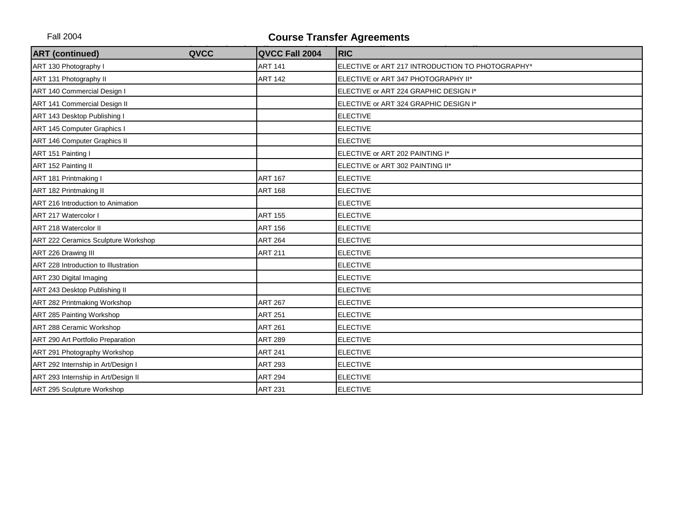| <b>ART</b> (continued)<br>QVCC       | QVCC Fall 2004 | <b>RIC</b>                                       |
|--------------------------------------|----------------|--------------------------------------------------|
| ART 130 Photography I                | <b>ART 141</b> | ELECTIVE or ART 217 INTRODUCTION TO PHOTOGRAPHY* |
| ART 131 Photography II               | <b>ART 142</b> | ELECTIVE or ART 347 PHOTOGRAPHY II*              |
| ART 140 Commercial Design I          |                | ELECTIVE or ART 224 GRAPHIC DESIGN I*            |
| ART 141 Commercial Design II         |                | ELECTIVE or ART 324 GRAPHIC DESIGN I*            |
| ART 143 Desktop Publishing I         |                | <b>ELECTIVE</b>                                  |
| ART 145 Computer Graphics I          |                | <b>ELECTIVE</b>                                  |
| ART 146 Computer Graphics II         |                | <b>ELECTIVE</b>                                  |
| ART 151 Painting I                   |                | ELECTIVE or ART 202 PAINTING I*                  |
| ART 152 Painting II                  |                | ELECTIVE or ART 302 PAINTING II*                 |
| ART 181 Printmaking I                | <b>ART 167</b> | <b>ELECTIVE</b>                                  |
| ART 182 Printmaking II               | <b>ART 168</b> | <b>ELECTIVE</b>                                  |
| ART 216 Introduction to Animation    |                | <b>ELECTIVE</b>                                  |
| ART 217 Watercolor I                 | <b>ART 155</b> | <b>ELECTIVE</b>                                  |
| ART 218 Watercolor II                | <b>ART 156</b> | <b>ELECTIVE</b>                                  |
| ART 222 Ceramics Sculpture Workshop  | <b>ART 264</b> | <b>ELECTIVE</b>                                  |
| ART 226 Drawing III                  | <b>ART 211</b> | <b>ELECTIVE</b>                                  |
| ART 228 Introduction to Illustration |                | <b>ELECTIVE</b>                                  |
| ART 230 Digital Imaging              |                | <b>ELECTIVE</b>                                  |
| ART 243 Desktop Publishing II        |                | <b>ELECTIVE</b>                                  |
| ART 282 Printmaking Workshop         | <b>ART 267</b> | <b>ELECTIVE</b>                                  |
| ART 285 Painting Workshop            | <b>ART 251</b> | <b>ELECTIVE</b>                                  |
| ART 288 Ceramic Workshop             | <b>ART 261</b> | <b>ELECTIVE</b>                                  |
| ART 290 Art Portfolio Preparation    | <b>ART 289</b> | <b>ELECTIVE</b>                                  |
| ART 291 Photography Workshop         | <b>ART 241</b> | <b>ELECTIVE</b>                                  |
| ART 292 Internship in Art/Design I   | <b>ART 293</b> | <b>ELECTIVE</b>                                  |
| ART 293 Internship in Art/Design II  | <b>ART 294</b> | <b>ELECTIVE</b>                                  |
| ART 295 Sculpture Workshop           | <b>ART 231</b> | <b>ELECTIVE</b>                                  |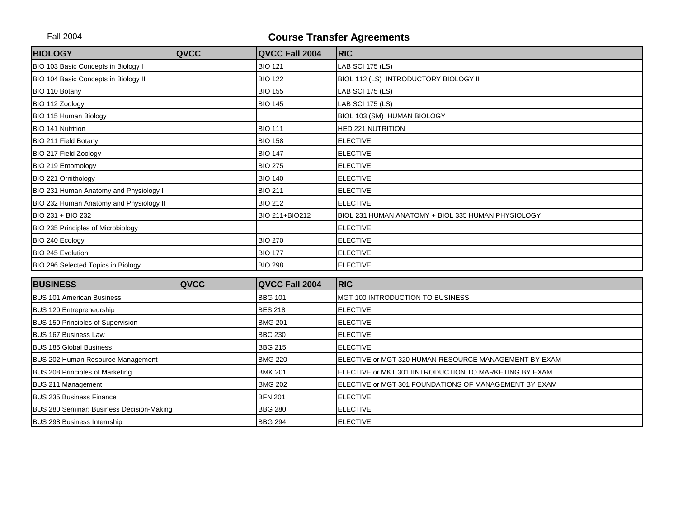| <b>BIOLOGY</b><br>QVCC                    | QVCC Fall 2004 | <b>RIC</b>                                             |
|-------------------------------------------|----------------|--------------------------------------------------------|
| BIO 103 Basic Concepts in Biology I       | <b>BIO 121</b> | LAB SCI 175 (LS)                                       |
| BIO 104 Basic Concepts in Biology II      | <b>BIO 122</b> | BIOL 112 (LS) INTRODUCTORY BIOLOGY II                  |
| BIO 110 Botany                            | <b>BIO 155</b> | LAB SCI 175 (LS)                                       |
| BIO 112 Zoology                           | <b>BIO 145</b> | <b>LAB SCI 175 (LS)</b>                                |
| BIO 115 Human Biology                     |                | BIOL 103 (SM) HUMAN BIOLOGY                            |
| <b>BIO 141 Nutrition</b>                  | <b>BIO 111</b> | <b>HED 221 NUTRITION</b>                               |
| BIO 211 Field Botany                      | <b>BIO 158</b> | <b>ELECTIVE</b>                                        |
| BIO 217 Field Zoology                     | <b>BIO 147</b> | <b>ELECTIVE</b>                                        |
| BIO 219 Entomology                        | <b>BIO 275</b> | <b>ELECTIVE</b>                                        |
| BIO 221 Ornithology                       | <b>BIO 140</b> | <b>ELECTIVE</b>                                        |
| BIO 231 Human Anatomy and Physiology I    | <b>BIO 211</b> | <b>ELECTIVE</b>                                        |
| BIO 232 Human Anatomy and Physiology II   | <b>BIO 212</b> | <b>ELECTIVE</b>                                        |
| BIO 231 + BIO 232                         | BIO 211+BIO212 | BIOL 231 HUMAN ANATOMY + BIOL 335 HUMAN PHYSIOLOGY     |
| BIO 235 Principles of Microbiology        |                | <b>ELECTIVE</b>                                        |
| BIO 240 Ecology                           | <b>BIO 270</b> | <b>ELECTIVE</b>                                        |
| BIO 245 Evolution                         | <b>BIO 177</b> | <b>ELECTIVE</b>                                        |
| BIO 296 Selected Topics in Biology        | <b>BIO 298</b> | <b>ELECTIVE</b>                                        |
| <b>BUSINESS</b><br>QVCC                   | QVCC Fall 2004 | <b>RIC</b>                                             |
| <b>BUS 101 American Business</b>          | <b>BBG 101</b> | MGT 100 INTRODUCTION TO BUSINESS                       |
| BUS 120 Entrepreneurship                  | <b>BES 218</b> | <b>ELECTIVE</b>                                        |
| BUS 150 Principles of Supervision         | <b>BMG 201</b> | <b>ELECTIVE</b>                                        |
| <b>BUS 167 Business Law</b>               | <b>BBC 230</b> | <b>ELECTIVE</b>                                        |
| <b>BUS 185 Global Business</b>            | <b>BBG 215</b> | <b>ELECTIVE</b>                                        |
| BUS 202 Human Resource Management         | <b>BMG 220</b> | ELECTIVE or MGT 320 HUMAN RESOURCE MANAGEMENT BY EXAM  |
| BUS 208 Principles of Marketing           | <b>BMK 201</b> | ELECTIVE or MKT 301 IINTRODUCTION TO MARKETING BY EXAM |
| <b>BUS 211 Management</b>                 | <b>BMG 202</b> | ELECTIVE or MGT 301 FOUNDATIONS OF MANAGEMENT BY EXAM  |
| <b>BUS 235 Business Finance</b>           | <b>BFN 201</b> | <b>ELECTIVE</b>                                        |
| BUS 280 Seminar: Business Decision-Making | <b>BBG 280</b> | <b>ELECTIVE</b>                                        |
| <b>BUS 298 Business Internship</b>        | <b>BBG 294</b> | <b>ELECTIVE</b>                                        |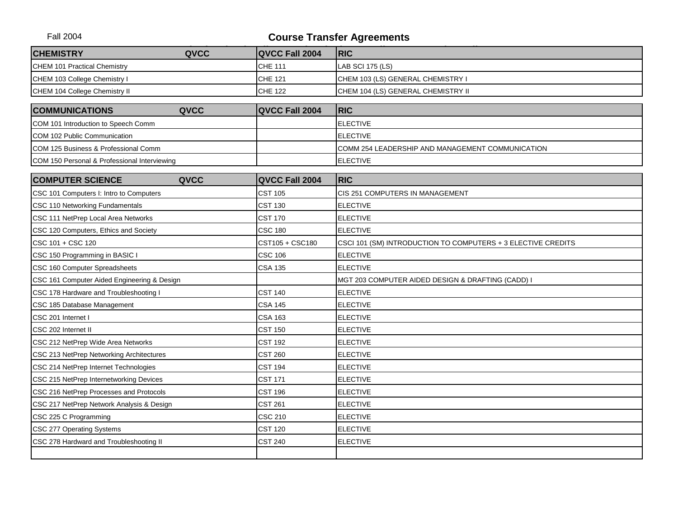| <b>CHEMISTRY</b>                             | QVCC | QVCC Fall 2004  | <b>RIC</b>                                                   |
|----------------------------------------------|------|-----------------|--------------------------------------------------------------|
| CHEM 101 Practical Chemistry                 |      | <b>CHE 111</b>  | <b>LAB SCI 175 (LS)</b>                                      |
| CHEM 103 College Chemistry I                 |      | <b>CHE 121</b>  | CHEM 103 (LS) GENERAL CHEMISTRY I                            |
| CHEM 104 College Chemistry II                |      | <b>CHE 122</b>  | CHEM 104 (LS) GENERAL CHEMISTRY II                           |
| <b>COMMUNICATIONS</b>                        | QVCC | QVCC Fall 2004  | <b>RIC</b>                                                   |
| COM 101 Introduction to Speech Comm          |      |                 | <b>ELECTIVE</b>                                              |
| COM 102 Public Communication                 |      |                 | <b>ELECTIVE</b>                                              |
| COM 125 Business & Professional Comm         |      |                 | COMM 254 LEADERSHIP AND MANAGEMENT COMMUNICATION             |
| COM 150 Personal & Professional Interviewing |      |                 | <b>ELECTIVE</b>                                              |
|                                              |      |                 |                                                              |
| <b>COMPUTER SCIENCE</b>                      | QVCC | QVCC Fall 2004  | <b>RIC</b>                                                   |
| CSC 101 Computers I: Intro to Computers      |      | <b>CST 105</b>  | CIS 251 COMPUTERS IN MANAGEMENT                              |
| CSC 110 Networking Fundamentals              |      | <b>CST 130</b>  | <b>ELECTIVE</b>                                              |
| CSC 111 NetPrep Local Area Networks          |      | <b>CST 170</b>  | <b>ELECTIVE</b>                                              |
| CSC 120 Computers, Ethics and Society        |      | <b>CSC 180</b>  | <b>ELECTIVE</b>                                              |
| CSC 101 + CSC 120                            |      | CST105 + CSC180 | CSCI 101 (SM) INTRODUCTION TO COMPUTERS + 3 ELECTIVE CREDITS |
| CSC 150 Programming in BASIC I               |      | <b>CSC 106</b>  | <b>ELECTIVE</b>                                              |
| CSC 160 Computer Spreadsheets                |      | <b>CSA 135</b>  | <b>ELECTIVE</b>                                              |
| CSC 161 Computer Aided Engineering & Design  |      |                 | MGT 203 COMPUTER AIDED DESIGN & DRAFTING (CADD) I            |
| CSC 178 Hardware and Troubleshooting I       |      | <b>CST 140</b>  | <b>ELECTIVE</b>                                              |
| CSC 185 Database Management                  |      | <b>CSA 145</b>  | <b>ELECTIVE</b>                                              |
| CSC 201 Internet I                           |      | <b>CSA 163</b>  | <b>ELECTIVE</b>                                              |
| CSC 202 Internet II                          |      | <b>CST 150</b>  | <b>ELECTIVE</b>                                              |
| CSC 212 NetPrep Wide Area Networks           |      | <b>CST 192</b>  | <b>ELECTIVE</b>                                              |
| CSC 213 NetPrep Networking Architectures     |      | <b>CST 260</b>  | <b>ELECTIVE</b>                                              |
| CSC 214 NetPrep Internet Technologies        |      | <b>CST 194</b>  | <b>ELECTIVE</b>                                              |
| CSC 215 NetPrep Internetworking Devices      |      | <b>CST 171</b>  | <b>ELECTIVE</b>                                              |
| CSC 216 NetPrep Processes and Protocols      |      | <b>CST 196</b>  | <b>ELECTIVE</b>                                              |
| CSC 217 NetPrep Network Analysis & Design    |      | <b>CST 261</b>  | <b>ELECTIVE</b>                                              |
| CSC 225 C Programming                        |      | <b>CSC 210</b>  | <b>ELECTIVE</b>                                              |
| CSC 277 Operating Systems                    |      | <b>CST 120</b>  | <b>ELECTIVE</b>                                              |
| CSC 278 Hardward and Troubleshooting II      |      | <b>CST 240</b>  | <b>ELECTIVE</b>                                              |
|                                              |      |                 |                                                              |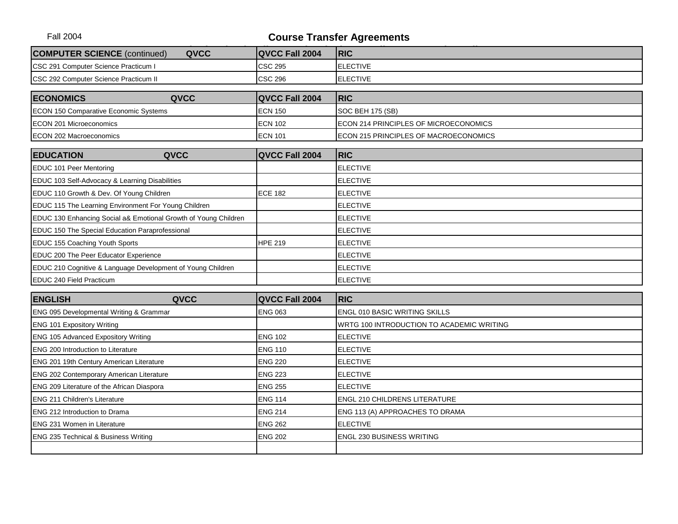| <b>COMPUTER SCIENCE (continued)</b><br>QVCC                     | QVCC Fall 2004 | <b>RIC</b>                                |
|-----------------------------------------------------------------|----------------|-------------------------------------------|
| CSC 291 Computer Science Practicum I                            | <b>CSC 295</b> | <b>ELECTIVE</b>                           |
| CSC 292 Computer Science Practicum II                           | <b>CSC 296</b> | <b>ELECTIVE</b>                           |
| <b>ECONOMICS</b><br>QVCC                                        | QVCC Fall 2004 | <b>RIC</b>                                |
|                                                                 |                |                                           |
| ECON 150 Comparative Economic Systems                           | <b>ECN 150</b> | SOC BEH 175 (SB)                          |
| ECON 201 Microeconomics                                         | <b>ECN 102</b> | ECON 214 PRINCIPLES OF MICROECONOMICS     |
| ECON 202 Macroeconomics                                         | <b>ECN 101</b> | ECON 215 PRINCIPLES OF MACROECONOMICS     |
| QVCC<br><b>EDUCATION</b>                                        | QVCC Fall 2004 | <b>RIC</b>                                |
| EDUC 101 Peer Mentoring                                         |                | <b>ELECTIVE</b>                           |
| EDUC 103 Self-Advocacy & Learning Disabilities                  |                | <b>ELECTIVE</b>                           |
| EDUC 110 Growth & Dev. Of Young Children                        | <b>ECE 182</b> | <b>ELECTIVE</b>                           |
| EDUC 115 The Learning Environment For Young Children            |                | <b>ELECTIVE</b>                           |
| EDUC 130 Enhancing Social a& Emotional Growth of Young Children |                | <b>ELECTIVE</b>                           |
| EDUC 150 The Special Education Paraprofessional                 |                | <b>ELECTIVE</b>                           |
| EDUC 155 Coaching Youth Sports                                  | <b>HPE 219</b> | <b>ELECTIVE</b>                           |
| EDUC 200 The Peer Educator Experience                           |                | <b>ELECTIVE</b>                           |
| EDUC 210 Cognitive & Language Development of Young Children     |                | <b>ELECTIVE</b>                           |
| EDUC 240 Field Practicum                                        |                | <b>ELECTIVE</b>                           |
| <b>ENGLISH</b><br>QVCC                                          | QVCC Fall 2004 | <b>RIC</b>                                |
| ENG 095 Developmental Writing & Grammar                         | <b>ENG 063</b> | ENGL 010 BASIC WRITING SKILLS             |
| ENG 101 Expository Writing                                      |                | WRTG 100 INTRODUCTION TO ACADEMIC WRITING |
| <b>ENG 105 Advanced Expository Writing</b>                      | <b>ENG 102</b> | <b>ELECTIVE</b>                           |
| <b>ENG 200 Introduction to Literature</b>                       | <b>ENG 110</b> | <b>ELECTIVE</b>                           |
| ENG 201 19th Century American Literature                        | <b>ENG 220</b> | <b>ELECTIVE</b>                           |
| <b>ENG 202 Contemporary American Literature</b>                 | <b>ENG 223</b> | <b>ELECTIVE</b>                           |
| ENG 209 Literature of the African Diaspora                      | <b>ENG 255</b> | <b>ELECTIVE</b>                           |
| <b>ENG 211 Children's Literature</b>                            | <b>ENG 114</b> | <b>ENGL 210 CHILDRENS LITERATURE</b>      |
| <b>ENG 212 Introduction to Drama</b>                            | <b>ENG 214</b> | ENG 113 (A) APPROACHES TO DRAMA           |
| <b>ENG 231 Women in Literature</b>                              | <b>ENG 262</b> | <b>ELECTIVE</b>                           |
| ENG 235 Technical & Business Writing                            | <b>ENG 202</b> | ENGL 230 BUSINESS WRITING                 |
|                                                                 |                |                                           |
|                                                                 |                |                                           |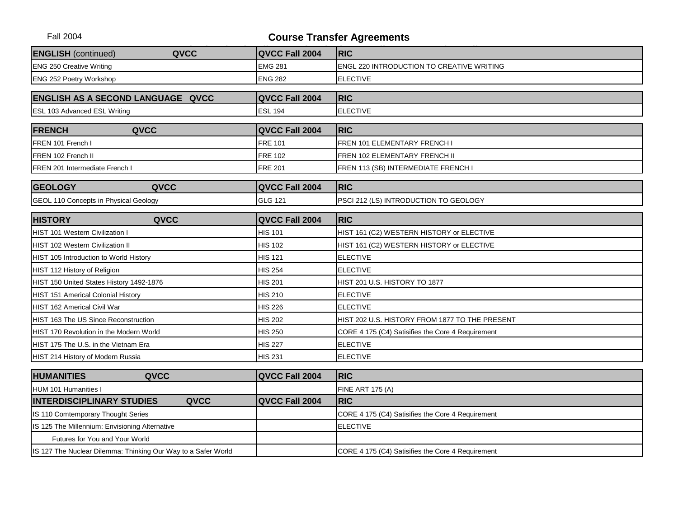| <b>ENGLISH</b> (continued)                     | QVCC                                                          | QVCC Fall 2004 | <b>RIC</b>                                        |
|------------------------------------------------|---------------------------------------------------------------|----------------|---------------------------------------------------|
| <b>ENG 250 Creative Writing</b>                |                                                               | <b>EMG 281</b> | <b>ENGL 220 INTRODUCTION TO CREATIVE WRITING</b>  |
| <b>ENG 252 Poetry Workshop</b>                 |                                                               | <b>ENG 282</b> | <b>ELECTIVE</b>                                   |
|                                                |                                                               |                |                                                   |
| <b>ENGLISH AS A SECOND LANGUAGE QVCC</b>       |                                                               | QVCC Fall 2004 | <b>RIC</b>                                        |
| ESL 103 Advanced ESL Writing                   |                                                               | <b>ESL 194</b> | <b>ELECTIVE</b>                                   |
| <b>FRENCH</b>                                  | QVCC                                                          | QVCC Fall 2004 | <b>RIC</b>                                        |
| FREN 101 French I                              |                                                               | <b>FRE 101</b> | FREN 101 ELEMENTARY FRENCH I                      |
| FREN 102 French II                             |                                                               | <b>FRE 102</b> | FREN 102 ELEMENTARY FRENCH II                     |
| FREN 201 Intermediate French I                 |                                                               | <b>FRE 201</b> | FREN 113 (SB) INTERMEDIATE FRENCH I               |
| <b>GEOLOGY</b>                                 | QVCC                                                          | QVCC Fall 2004 | <b>IRIC</b>                                       |
| GEOL 110 Concepts in Physical Geology          |                                                               | <b>GLG 121</b> | PSCI 212 (LS) INTRODUCTION TO GEOLOGY             |
|                                                |                                                               |                |                                                   |
| <b>HISTORY</b>                                 | QVCC                                                          | QVCC Fall 2004 | <b>RIC</b>                                        |
| <b>HIST 101 Western Civilization I</b>         |                                                               | <b>HIS 101</b> | HIST 161 (C2) WESTERN HISTORY or ELECTIVE         |
| <b>HIST 102 Western Civilization II</b>        |                                                               | <b>HIS 102</b> | HIST 161 (C2) WESTERN HISTORY or ELECTIVE         |
| HIST 105 Introduction to World History         |                                                               | <b>HIS 121</b> | <b>ELECTIVE</b>                                   |
| HIST 112 History of Religion                   |                                                               | <b>HIS 254</b> | <b>ELECTIVE</b>                                   |
| HIST 150 United States History 1492-1876       |                                                               | <b>HIS 201</b> | HIST 201 U.S. HISTORY TO 1877                     |
| <b>HIST 151 Americal Colonial History</b>      |                                                               | <b>HIS 210</b> | <b>ELECTIVE</b>                                   |
| <b>HIST 162 Americal Civil War</b>             |                                                               | <b>HIS 226</b> | <b>ELECTIVE</b>                                   |
| HIST 163 The US Since Reconstruction           |                                                               | <b>HIS 202</b> | HIST 202 U.S. HISTORY FROM 1877 TO THE PRESENT    |
| HIST 170 Revolution in the Modern World        |                                                               | <b>HIS 250</b> | CORE 4 175 (C4) Satisifies the Core 4 Requirement |
| HIST 175 The U.S. in the Vietnam Era           |                                                               | <b>HIS 227</b> | <b>ELECTIVE</b>                                   |
| HIST 214 History of Modern Russia              |                                                               | <b>HIS 231</b> | <b>ELECTIVE</b>                                   |
| <b>HUMANITIES</b>                              | QVCC                                                          | QVCC Fall 2004 | <b>RIC</b>                                        |
| HUM 101 Humanities I                           |                                                               |                | <b>FINE ART 175 (A)</b>                           |
| <b>INTERDISCIPLINARY STUDIES</b>               | QVCC                                                          | QVCC Fall 2004 | <b>RIC</b>                                        |
| IS 110 Comtemporary Thought Series             |                                                               |                | CORE 4 175 (C4) Satisifies the Core 4 Requirement |
| IS 125 The Millennium: Envisioning Alternative |                                                               |                | <b>ELECTIVE</b>                                   |
| Futures for You and Your World                 |                                                               |                |                                                   |
|                                                | IS 127 The Nuclear Dilemma: Thinking Our Way to a Safer World |                | CORE 4 175 (C4) Satisifies the Core 4 Requirement |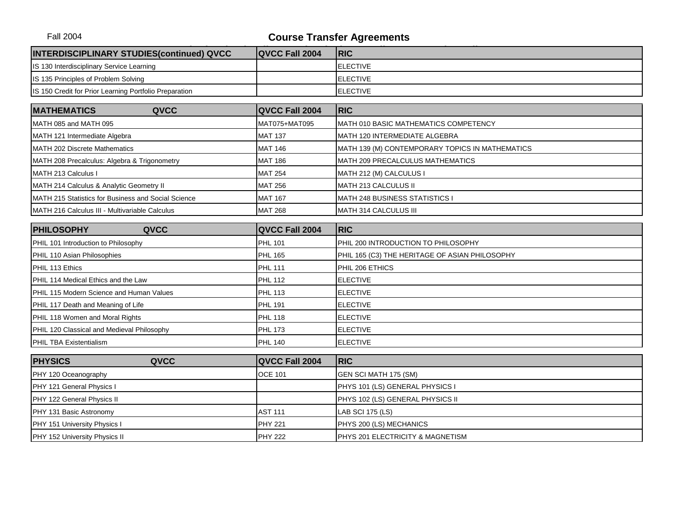| <b>INTERDISCIPLINARY STUDIES(continued) QVCC</b>       | QVCC Fall 2004 | <b>RIC</b>                                      |  |  |
|--------------------------------------------------------|----------------|-------------------------------------------------|--|--|
| IS 130 Interdisciplinary Service Learning              |                | <b>ELECTIVE</b>                                 |  |  |
| IS 135 Principles of Problem Solving                   |                | <b>ELECTIVE</b>                                 |  |  |
| IS 150 Credit for Prior Learning Portfolio Preparation |                | <b>ELECTIVE</b>                                 |  |  |
|                                                        |                |                                                 |  |  |
| <b>MATHEMATICS</b><br>QVCC                             | QVCC Fall 2004 | <b>RIC</b>                                      |  |  |
| MATH 085 and MATH 095                                  | MAT075+MAT095  | MATH 010 BASIC MATHEMATICS COMPETENCY           |  |  |
| MATH 121 Intermediate Algebra                          | <b>MAT 137</b> | MATH 120 INTERMEDIATE ALGEBRA                   |  |  |
| MATH 202 Discrete Mathematics                          | <b>MAT 146</b> | MATH 139 (M) CONTEMPORARY TOPICS IN MATHEMATICS |  |  |
| MATH 208 Precalculus: Algebra & Trigonometry           | <b>MAT 186</b> | MATH 209 PRECALCULUS MATHEMATICS                |  |  |
| MATH 213 Calculus I                                    | <b>MAT 254</b> | MATH 212 (M) CALCULUS I                         |  |  |
| MATH 214 Calculus & Analytic Geometry II               | <b>MAT 256</b> | MATH 213 CALCULUS II                            |  |  |
| MATH 215 Statistics for Business and Social Science    | <b>MAT 167</b> | <b>MATH 248 BUSINESS STATISTICS I</b>           |  |  |
| MATH 216 Calculus III - Multivariable Calculus         | <b>MAT 268</b> | MATH 314 CALCULUS III                           |  |  |
|                                                        |                |                                                 |  |  |
| <b>PHILOSOPHY</b><br>QVCC                              | QVCC Fall 2004 | <b>RIC</b>                                      |  |  |
| PHIL 101 Introduction to Philosophy                    | <b>PHL 101</b> | PHIL 200 INTRODUCTION TO PHILOSOPHY             |  |  |
| PHIL 110 Asian Philosophies                            | <b>PHL 165</b> | PHIL 165 (C3) THE HERITAGE OF ASIAN PHILOSOPHY  |  |  |
| PHIL 113 Ethics                                        | <b>PHL 111</b> | PHIL 206 ETHICS                                 |  |  |
| PHIL 114 Medical Ethics and the Law                    | <b>PHL 112</b> | <b>ELECTIVE</b>                                 |  |  |
| PHIL 115 Modern Science and Human Values               | <b>PHL 113</b> | <b>ELECTIVE</b>                                 |  |  |
| PHIL 117 Death and Meaning of Life                     | <b>PHL 191</b> | <b>ELECTIVE</b>                                 |  |  |
| PHIL 118 Women and Moral Rights                        | <b>PHL 118</b> | <b>ELECTIVE</b>                                 |  |  |
| PHIL 120 Classical and Medieval Philosophy             | <b>PHL 173</b> | <b>ELECTIVE</b>                                 |  |  |
| PHIL TBA Existentialism                                | <b>PHL 140</b> | <b>ELECTIVE</b>                                 |  |  |
|                                                        |                |                                                 |  |  |
| <b>PHYSICS</b><br>QVCC                                 | QVCC Fall 2004 | <b>RIC</b>                                      |  |  |
| PHY 120 Oceanography                                   | <b>OCE 101</b> | GEN SCI MATH 175 (SM)                           |  |  |
| PHY 121 General Physics I                              |                | PHYS 101 (LS) GENERAL PHYSICS I                 |  |  |
| PHY 122 General Physics II                             |                | PHYS 102 (LS) GENERAL PHYSICS II                |  |  |
| PHY 131 Basic Astronomy                                | <b>AST 111</b> | LAB SCI 175 (LS)                                |  |  |
| PHY 151 University Physics I                           | <b>PHY 221</b> | PHYS 200 (LS) MECHANICS                         |  |  |
| PHY 152 University Physics II                          | <b>PHY 222</b> | PHYS 201 ELECTRICITY & MAGNETISM                |  |  |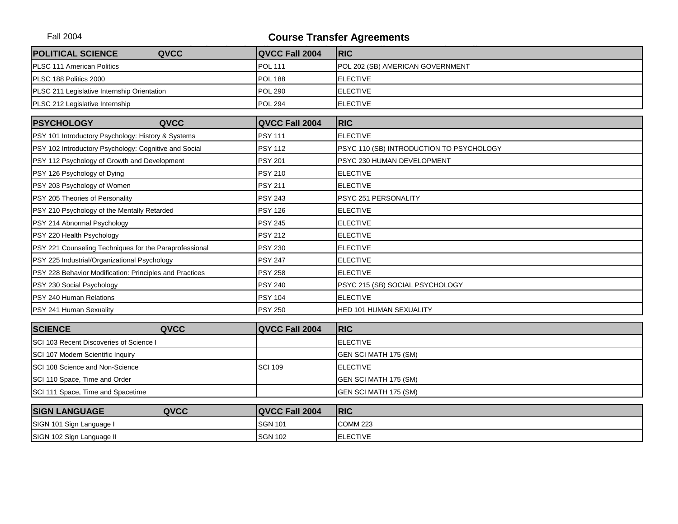| <b>POLITICAL SCIENCE</b>                                | QVCC | QVCC Fall 2004 | <b>RIC</b>                               |
|---------------------------------------------------------|------|----------------|------------------------------------------|
| PLSC 111 American Politics                              |      | <b>POL 111</b> | POL 202 (SB) AMERICAN GOVERNMENT         |
| PLSC 188 Politics 2000                                  |      | <b>POL 188</b> | <b>ELECTIVE</b>                          |
| PLSC 211 Legislative Internship Orientation             |      | <b>POL 290</b> | <b>ELECTIVE</b>                          |
| PLSC 212 Legislative Internship                         |      | <b>POL 294</b> | <b>ELECTIVE</b>                          |
|                                                         |      |                |                                          |
| <b>PSYCHOLOGY</b>                                       | QVCC | QVCC Fall 2004 | <b>RIC</b>                               |
| PSY 101 Introductory Psychology: History & Systems      |      | <b>PSY 111</b> | <b>ELECTIVE</b>                          |
| PSY 102 Introductory Psychology: Cognitive and Social   |      | <b>PSY 112</b> | PSYC 110 (SB) INTRODUCTION TO PSYCHOLOGY |
| PSY 112 Psychology of Growth and Development            |      | <b>PSY 201</b> | PSYC 230 HUMAN DEVELOPMENT               |
| PSY 126 Psychology of Dying                             |      | <b>PSY 210</b> | <b>ELECTIVE</b>                          |
| PSY 203 Psychology of Women                             |      | <b>PSY 211</b> | <b>ELECTIVE</b>                          |
| PSY 205 Theories of Personality                         |      | <b>PSY 243</b> | PSYC 251 PERSONALITY                     |
| PSY 210 Psychology of the Mentally Retarded             |      | <b>PSY 126</b> | <b>ELECTIVE</b>                          |
| PSY 214 Abnormal Psychology                             |      | <b>PSY 245</b> | <b>ELECTIVE</b>                          |
| PSY 220 Health Psychology                               |      | <b>PSY 212</b> | <b>ELECTIVE</b>                          |
| PSY 221 Counseling Techniques for the Paraprofessional  |      | <b>PSY 230</b> | <b>ELECTIVE</b>                          |
| PSY 225 Industrial/Organizational Psychology            |      | <b>PSY 247</b> | <b>ELECTIVE</b>                          |
| PSY 228 Behavior Modification: Principles and Practices |      | <b>PSY 258</b> | <b>ELECTIVE</b>                          |
| PSY 230 Social Psychology                               |      | <b>PSY 240</b> | PSYC 215 (SB) SOCIAL PSYCHOLOGY          |
| PSY 240 Human Relations                                 |      | <b>PSY 104</b> | <b>ELECTIVE</b>                          |
| PSY 241 Human Sexuality                                 |      | <b>PSY 250</b> | HED 101 HUMAN SEXUALITY                  |
|                                                         |      |                |                                          |
| <b>SCIENCE</b>                                          | QVCC | QVCC Fall 2004 | <b>RIC</b>                               |
| SCI 103 Recent Discoveries of Science I                 |      |                | <b>ELECTIVE</b>                          |
| SCI 107 Modern Scientific Inquiry                       |      |                | GEN SCI MATH 175 (SM)                    |
| SCI 108 Science and Non-Science                         |      | <b>SCI 109</b> | <b>ELECTIVE</b>                          |
| SCI 110 Space, Time and Order                           |      |                | GEN SCI MATH 175 (SM)                    |
| SCI 111 Space, Time and Spacetime                       |      |                | GEN SCI MATH 175 (SM)                    |
| <b>SIGN LANGUAGE</b>                                    | QVCC | QVCC Fall 2004 | <b>RIC</b>                               |
| SIGN 101 Sign Language I                                |      | <b>SGN 101</b> | <b>COMM 223</b>                          |
| SIGN 102 Sign Language II                               |      | <b>SGN 102</b> | <b>ELECTIVE</b>                          |